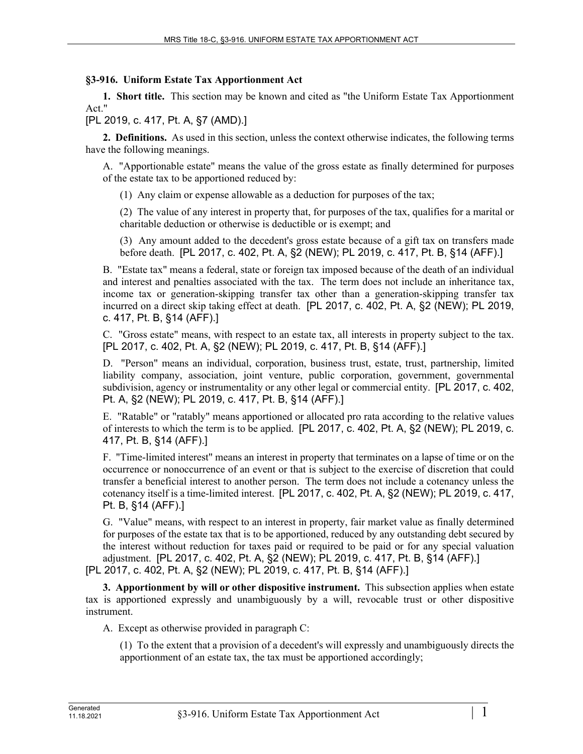## **§3-916. Uniform Estate Tax Apportionment Act**

**1. Short title.** This section may be known and cited as "the Uniform Estate Tax Apportionment Act."

[PL 2019, c. 417, Pt. A, §7 (AMD).]

**2. Definitions.** As used in this section, unless the context otherwise indicates, the following terms have the following meanings.

A. "Apportionable estate" means the value of the gross estate as finally determined for purposes of the estate tax to be apportioned reduced by:

(1) Any claim or expense allowable as a deduction for purposes of the tax;

(2) The value of any interest in property that, for purposes of the tax, qualifies for a marital or charitable deduction or otherwise is deductible or is exempt; and

(3) Any amount added to the decedent's gross estate because of a gift tax on transfers made before death. [PL 2017, c. 402, Pt. A, §2 (NEW); PL 2019, c. 417, Pt. B, §14 (AFF).]

B. "Estate tax" means a federal, state or foreign tax imposed because of the death of an individual and interest and penalties associated with the tax. The term does not include an inheritance tax, income tax or generation-skipping transfer tax other than a generation-skipping transfer tax incurred on a direct skip taking effect at death. [PL 2017, c. 402, Pt. A, §2 (NEW); PL 2019, c. 417, Pt. B, §14 (AFF).]

C. "Gross estate" means, with respect to an estate tax, all interests in property subject to the tax. [PL 2017, c. 402, Pt. A, §2 (NEW); PL 2019, c. 417, Pt. B, §14 (AFF).]

D. "Person" means an individual, corporation, business trust, estate, trust, partnership, limited liability company, association, joint venture, public corporation, government, governmental subdivision, agency or instrumentality or any other legal or commercial entity. [PL 2017, c. 402, Pt. A, §2 (NEW); PL 2019, c. 417, Pt. B, §14 (AFF).]

E. "Ratable" or "ratably" means apportioned or allocated pro rata according to the relative values of interests to which the term is to be applied. [PL 2017, c. 402, Pt. A, §2 (NEW); PL 2019, c. 417, Pt. B, §14 (AFF).]

F. "Time-limited interest" means an interest in property that terminates on a lapse of time or on the occurrence or nonoccurrence of an event or that is subject to the exercise of discretion that could transfer a beneficial interest to another person. The term does not include a cotenancy unless the cotenancy itself is a time-limited interest. [PL 2017, c. 402, Pt. A, §2 (NEW); PL 2019, c. 417, Pt. B, §14 (AFF).]

G. "Value" means, with respect to an interest in property, fair market value as finally determined for purposes of the estate tax that is to be apportioned, reduced by any outstanding debt secured by the interest without reduction for taxes paid or required to be paid or for any special valuation adjustment. [PL 2017, c. 402, Pt. A, §2 (NEW); PL 2019, c. 417, Pt. B, §14 (AFF).] [PL 2017, c. 402, Pt. A, §2 (NEW); PL 2019, c. 417, Pt. B, §14 (AFF).]

**3. Apportionment by will or other dispositive instrument.** This subsection applies when estate tax is apportioned expressly and unambiguously by a will, revocable trust or other dispositive instrument.

A. Except as otherwise provided in paragraph C:

(1) To the extent that a provision of a decedent's will expressly and unambiguously directs the apportionment of an estate tax, the tax must be apportioned accordingly;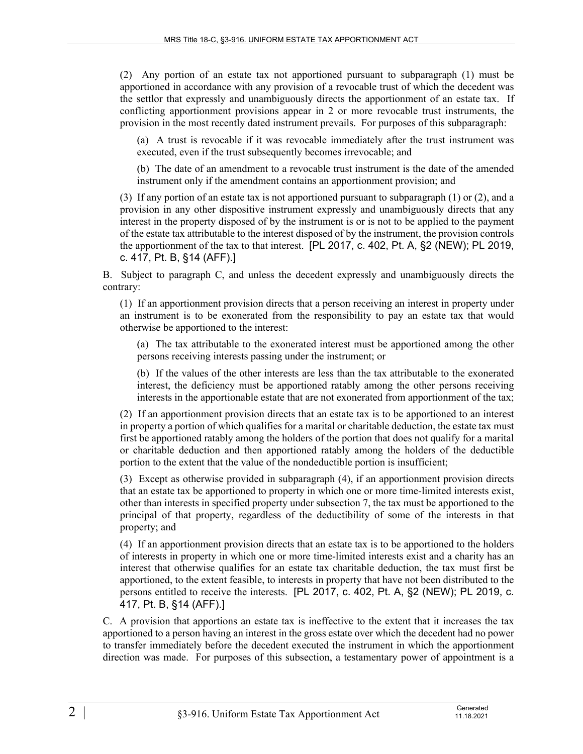(2) Any portion of an estate tax not apportioned pursuant to subparagraph (1) must be apportioned in accordance with any provision of a revocable trust of which the decedent was the settlor that expressly and unambiguously directs the apportionment of an estate tax. If conflicting apportionment provisions appear in 2 or more revocable trust instruments, the provision in the most recently dated instrument prevails. For purposes of this subparagraph:

(a) A trust is revocable if it was revocable immediately after the trust instrument was executed, even if the trust subsequently becomes irrevocable; and

(b) The date of an amendment to a revocable trust instrument is the date of the amended instrument only if the amendment contains an apportionment provision; and

(3) If any portion of an estate tax is not apportioned pursuant to subparagraph (1) or (2), and a provision in any other dispositive instrument expressly and unambiguously directs that any interest in the property disposed of by the instrument is or is not to be applied to the payment of the estate tax attributable to the interest disposed of by the instrument, the provision controls the apportionment of the tax to that interest. [PL 2017, c. 402, Pt. A, §2 (NEW); PL 2019, c. 417, Pt. B, §14 (AFF).]

B. Subject to paragraph C, and unless the decedent expressly and unambiguously directs the contrary:

(1) If an apportionment provision directs that a person receiving an interest in property under an instrument is to be exonerated from the responsibility to pay an estate tax that would otherwise be apportioned to the interest:

(a) The tax attributable to the exonerated interest must be apportioned among the other persons receiving interests passing under the instrument; or

(b) If the values of the other interests are less than the tax attributable to the exonerated interest, the deficiency must be apportioned ratably among the other persons receiving interests in the apportionable estate that are not exonerated from apportionment of the tax;

(2) If an apportionment provision directs that an estate tax is to be apportioned to an interest in property a portion of which qualifies for a marital or charitable deduction, the estate tax must first be apportioned ratably among the holders of the portion that does not qualify for a marital or charitable deduction and then apportioned ratably among the holders of the deductible portion to the extent that the value of the nondeductible portion is insufficient;

(3) Except as otherwise provided in subparagraph (4), if an apportionment provision directs that an estate tax be apportioned to property in which one or more time-limited interests exist, other than interests in specified property under subsection 7, the tax must be apportioned to the principal of that property, regardless of the deductibility of some of the interests in that property; and

(4) If an apportionment provision directs that an estate tax is to be apportioned to the holders of interests in property in which one or more time-limited interests exist and a charity has an interest that otherwise qualifies for an estate tax charitable deduction, the tax must first be apportioned, to the extent feasible, to interests in property that have not been distributed to the persons entitled to receive the interests. [PL 2017, c. 402, Pt. A, §2 (NEW); PL 2019, c. 417, Pt. B, §14 (AFF).]

C. A provision that apportions an estate tax is ineffective to the extent that it increases the tax apportioned to a person having an interest in the gross estate over which the decedent had no power to transfer immediately before the decedent executed the instrument in which the apportionment direction was made. For purposes of this subsection, a testamentary power of appointment is a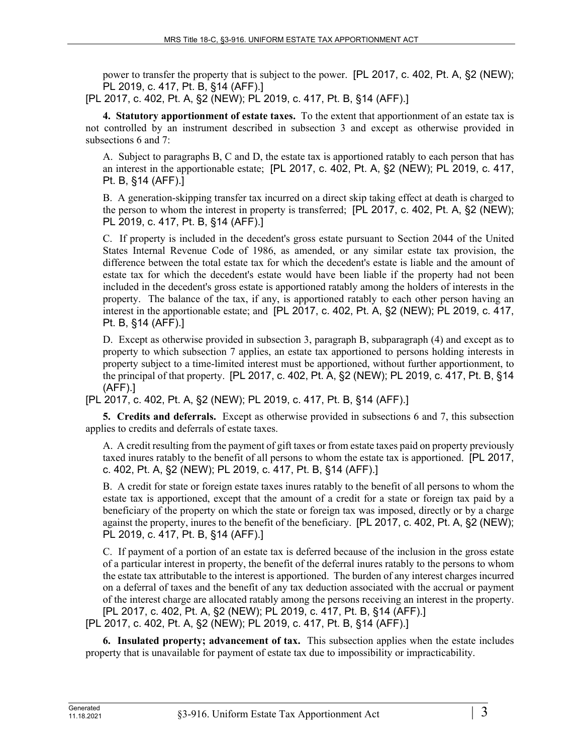power to transfer the property that is subject to the power. [PL 2017, c. 402, Pt. A, §2 (NEW); PL 2019, c. 417, Pt. B, §14 (AFF).]

[PL 2017, c. 402, Pt. A, §2 (NEW); PL 2019, c. 417, Pt. B, §14 (AFF).]

**4. Statutory apportionment of estate taxes.** To the extent that apportionment of an estate tax is not controlled by an instrument described in subsection 3 and except as otherwise provided in subsections 6 and 7:

A. Subject to paragraphs B, C and D, the estate tax is apportioned ratably to each person that has an interest in the apportionable estate; [PL 2017, c. 402, Pt. A, §2 (NEW); PL 2019, c. 417, Pt. B, §14 (AFF).]

B. A generation-skipping transfer tax incurred on a direct skip taking effect at death is charged to the person to whom the interest in property is transferred; [PL 2017, c. 402, Pt. A, §2 (NEW); PL 2019, c. 417, Pt. B, §14 (AFF).]

C. If property is included in the decedent's gross estate pursuant to Section 2044 of the United States Internal Revenue Code of 1986, as amended, or any similar estate tax provision, the difference between the total estate tax for which the decedent's estate is liable and the amount of estate tax for which the decedent's estate would have been liable if the property had not been included in the decedent's gross estate is apportioned ratably among the holders of interests in the property. The balance of the tax, if any, is apportioned ratably to each other person having an interest in the apportionable estate; and [PL 2017, c. 402, Pt. A, §2 (NEW); PL 2019, c. 417, Pt. B, §14 (AFF).]

D. Except as otherwise provided in subsection 3, paragraph B, subparagraph (4) and except as to property to which subsection 7 applies, an estate tax apportioned to persons holding interests in property subject to a time-limited interest must be apportioned, without further apportionment, to the principal of that property. [PL 2017, c. 402, Pt. A, §2 (NEW); PL 2019, c. 417, Pt. B, §14 (AFF).]

[PL 2017, c. 402, Pt. A, §2 (NEW); PL 2019, c. 417, Pt. B, §14 (AFF).]

**5. Credits and deferrals.** Except as otherwise provided in subsections 6 and 7, this subsection applies to credits and deferrals of estate taxes.

A. A credit resulting from the payment of gift taxes or from estate taxes paid on property previously taxed inures ratably to the benefit of all persons to whom the estate tax is apportioned. [PL 2017, c. 402, Pt. A, §2 (NEW); PL 2019, c. 417, Pt. B, §14 (AFF).]

B. A credit for state or foreign estate taxes inures ratably to the benefit of all persons to whom the estate tax is apportioned, except that the amount of a credit for a state or foreign tax paid by a beneficiary of the property on which the state or foreign tax was imposed, directly or by a charge against the property, inures to the benefit of the beneficiary. [PL 2017, c. 402, Pt. A, §2 (NEW); PL 2019, c. 417, Pt. B, §14 (AFF).]

C. If payment of a portion of an estate tax is deferred because of the inclusion in the gross estate of a particular interest in property, the benefit of the deferral inures ratably to the persons to whom the estate tax attributable to the interest is apportioned. The burden of any interest charges incurred on a deferral of taxes and the benefit of any tax deduction associated with the accrual or payment of the interest charge are allocated ratably among the persons receiving an interest in the property. [PL 2017, c. 402, Pt. A, §2 (NEW); PL 2019, c. 417, Pt. B, §14 (AFF).]

[PL 2017, c. 402, Pt. A, §2 (NEW); PL 2019, c. 417, Pt. B, §14 (AFF).]

**6. Insulated property; advancement of tax.** This subsection applies when the estate includes property that is unavailable for payment of estate tax due to impossibility or impracticability.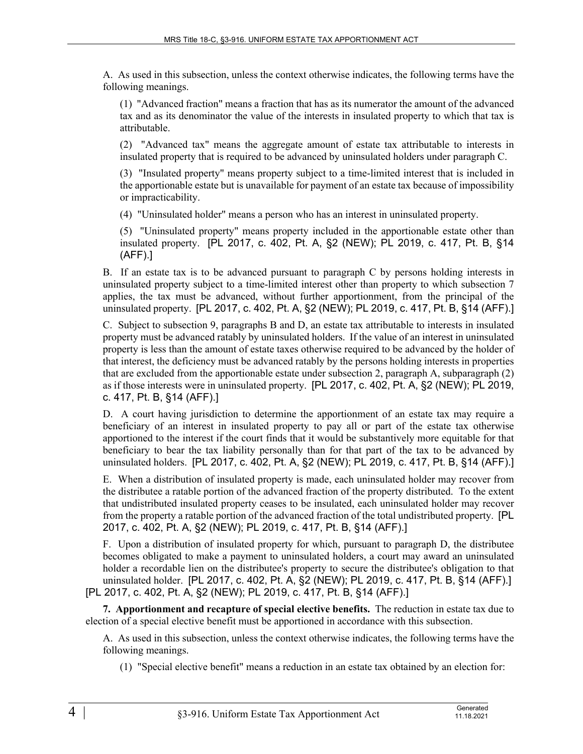A. As used in this subsection, unless the context otherwise indicates, the following terms have the following meanings.

(1) "Advanced fraction" means a fraction that has as its numerator the amount of the advanced tax and as its denominator the value of the interests in insulated property to which that tax is attributable.

(2) "Advanced tax" means the aggregate amount of estate tax attributable to interests in insulated property that is required to be advanced by uninsulated holders under paragraph C.

(3) "Insulated property" means property subject to a time-limited interest that is included in the apportionable estate but is unavailable for payment of an estate tax because of impossibility or impracticability.

(4) "Uninsulated holder" means a person who has an interest in uninsulated property.

(5) "Uninsulated property" means property included in the apportionable estate other than insulated property. [PL 2017, c. 402, Pt. A, §2 (NEW); PL 2019, c. 417, Pt. B, §14 (AFF).]

B. If an estate tax is to be advanced pursuant to paragraph C by persons holding interests in uninsulated property subject to a time-limited interest other than property to which subsection 7 applies, the tax must be advanced, without further apportionment, from the principal of the uninsulated property. [PL 2017, c. 402, Pt. A, §2 (NEW); PL 2019, c. 417, Pt. B, §14 (AFF).]

C. Subject to subsection 9, paragraphs B and D, an estate tax attributable to interests in insulated property must be advanced ratably by uninsulated holders. If the value of an interest in uninsulated property is less than the amount of estate taxes otherwise required to be advanced by the holder of that interest, the deficiency must be advanced ratably by the persons holding interests in properties that are excluded from the apportionable estate under subsection 2, paragraph A, subparagraph (2) as if those interests were in uninsulated property. [PL 2017, c. 402, Pt. A, §2 (NEW); PL 2019, c. 417, Pt. B, §14 (AFF).]

D. A court having jurisdiction to determine the apportionment of an estate tax may require a beneficiary of an interest in insulated property to pay all or part of the estate tax otherwise apportioned to the interest if the court finds that it would be substantively more equitable for that beneficiary to bear the tax liability personally than for that part of the tax to be advanced by uninsulated holders. [PL 2017, c. 402, Pt. A, §2 (NEW); PL 2019, c. 417, Pt. B, §14 (AFF).]

E. When a distribution of insulated property is made, each uninsulated holder may recover from the distributee a ratable portion of the advanced fraction of the property distributed. To the extent that undistributed insulated property ceases to be insulated, each uninsulated holder may recover from the property a ratable portion of the advanced fraction of the total undistributed property. [PL 2017, c. 402, Pt. A, §2 (NEW); PL 2019, c. 417, Pt. B, §14 (AFF).]

F. Upon a distribution of insulated property for which, pursuant to paragraph D, the distributee becomes obligated to make a payment to uninsulated holders, a court may award an uninsulated holder a recordable lien on the distributee's property to secure the distributee's obligation to that uninsulated holder. [PL 2017, c. 402, Pt. A, §2 (NEW); PL 2019, c. 417, Pt. B, §14 (AFF).] [PL 2017, c. 402, Pt. A, §2 (NEW); PL 2019, c. 417, Pt. B, §14 (AFF).]

**7. Apportionment and recapture of special elective benefits.** The reduction in estate tax due to election of a special elective benefit must be apportioned in accordance with this subsection.

A. As used in this subsection, unless the context otherwise indicates, the following terms have the following meanings.

(1) "Special elective benefit" means a reduction in an estate tax obtained by an election for: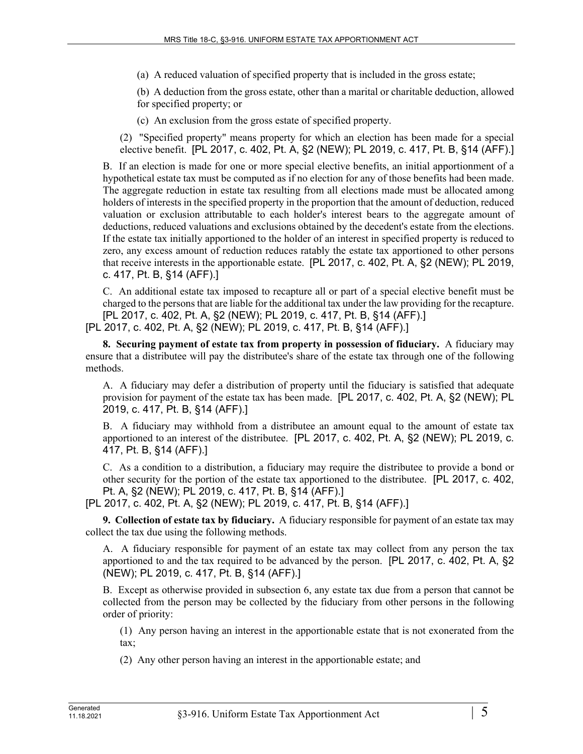(a) A reduced valuation of specified property that is included in the gross estate;

(b) A deduction from the gross estate, other than a marital or charitable deduction, allowed for specified property; or

(c) An exclusion from the gross estate of specified property.

(2) "Specified property" means property for which an election has been made for a special elective benefit. [PL 2017, c. 402, Pt. A, §2 (NEW); PL 2019, c. 417, Pt. B, §14 (AFF).]

B. If an election is made for one or more special elective benefits, an initial apportionment of a hypothetical estate tax must be computed as if no election for any of those benefits had been made. The aggregate reduction in estate tax resulting from all elections made must be allocated among holders of interests in the specified property in the proportion that the amount of deduction, reduced valuation or exclusion attributable to each holder's interest bears to the aggregate amount of deductions, reduced valuations and exclusions obtained by the decedent's estate from the elections. If the estate tax initially apportioned to the holder of an interest in specified property is reduced to zero, any excess amount of reduction reduces ratably the estate tax apportioned to other persons that receive interests in the apportionable estate. [PL 2017, c. 402, Pt. A, §2 (NEW); PL 2019, c. 417, Pt. B, §14 (AFF).]

C. An additional estate tax imposed to recapture all or part of a special elective benefit must be charged to the persons that are liable for the additional tax under the law providing for the recapture. [PL 2017, c. 402, Pt. A, §2 (NEW); PL 2019, c. 417, Pt. B, §14 (AFF).]

[PL 2017, c. 402, Pt. A, §2 (NEW); PL 2019, c. 417, Pt. B, §14 (AFF).]

**8. Securing payment of estate tax from property in possession of fiduciary.** A fiduciary may ensure that a distributee will pay the distributee's share of the estate tax through one of the following methods.

A. A fiduciary may defer a distribution of property until the fiduciary is satisfied that adequate provision for payment of the estate tax has been made. [PL 2017, c. 402, Pt. A, §2 (NEW); PL 2019, c. 417, Pt. B, §14 (AFF).]

B. A fiduciary may withhold from a distributee an amount equal to the amount of estate tax apportioned to an interest of the distributee. [PL 2017, c. 402, Pt. A, §2 (NEW); PL 2019, c. 417, Pt. B, §14 (AFF).]

C. As a condition to a distribution, a fiduciary may require the distributee to provide a bond or other security for the portion of the estate tax apportioned to the distributee. [PL 2017, c. 402, Pt. A, §2 (NEW); PL 2019, c. 417, Pt. B, §14 (AFF).]

[PL 2017, c. 402, Pt. A, §2 (NEW); PL 2019, c. 417, Pt. B, §14 (AFF).]

**9. Collection of estate tax by fiduciary.** A fiduciary responsible for payment of an estate tax may collect the tax due using the following methods.

A. A fiduciary responsible for payment of an estate tax may collect from any person the tax apportioned to and the tax required to be advanced by the person. [PL 2017, c. 402, Pt. A, §2 (NEW); PL 2019, c. 417, Pt. B, §14 (AFF).]

B. Except as otherwise provided in subsection 6, any estate tax due from a person that cannot be collected from the person may be collected by the fiduciary from other persons in the following order of priority:

(1) Any person having an interest in the apportionable estate that is not exonerated from the tax;

(2) Any other person having an interest in the apportionable estate; and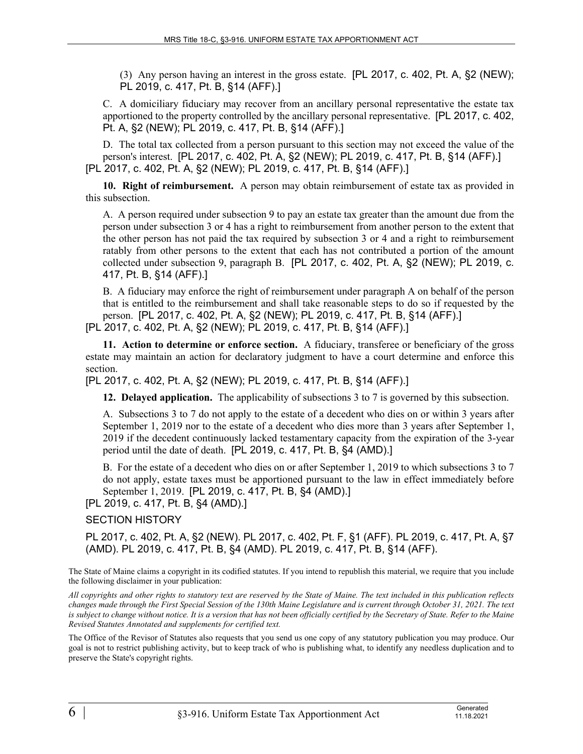(3) Any person having an interest in the gross estate. [PL 2017, c. 402, Pt. A, §2 (NEW); PL 2019, c. 417, Pt. B, §14 (AFF).]

C. A domiciliary fiduciary may recover from an ancillary personal representative the estate tax apportioned to the property controlled by the ancillary personal representative. [PL 2017, c. 402, Pt. A, §2 (NEW); PL 2019, c. 417, Pt. B, §14 (AFF).]

D. The total tax collected from a person pursuant to this section may not exceed the value of the person's interest. [PL 2017, c. 402, Pt. A, §2 (NEW); PL 2019, c. 417, Pt. B, §14 (AFF).] [PL 2017, c. 402, Pt. A, §2 (NEW); PL 2019, c. 417, Pt. B, §14 (AFF).]

**10. Right of reimbursement.** A person may obtain reimbursement of estate tax as provided in this subsection.

A. A person required under subsection 9 to pay an estate tax greater than the amount due from the person under subsection 3 or 4 has a right to reimbursement from another person to the extent that the other person has not paid the tax required by subsection 3 or 4 and a right to reimbursement ratably from other persons to the extent that each has not contributed a portion of the amount collected under subsection 9, paragraph B. [PL 2017, c. 402, Pt. A, §2 (NEW); PL 2019, c. 417, Pt. B, §14 (AFF).]

B. A fiduciary may enforce the right of reimbursement under paragraph A on behalf of the person that is entitled to the reimbursement and shall take reasonable steps to do so if requested by the person. [PL 2017, c. 402, Pt. A, §2 (NEW); PL 2019, c. 417, Pt. B, §14 (AFF).]

[PL 2017, c. 402, Pt. A, §2 (NEW); PL 2019, c. 417, Pt. B, §14 (AFF).]

**11. Action to determine or enforce section.** A fiduciary, transferee or beneficiary of the gross estate may maintain an action for declaratory judgment to have a court determine and enforce this section.

[PL 2017, c. 402, Pt. A, §2 (NEW); PL 2019, c. 417, Pt. B, §14 (AFF).]

**12. Delayed application.** The applicability of subsections 3 to 7 is governed by this subsection.

A. Subsections 3 to 7 do not apply to the estate of a decedent who dies on or within 3 years after September 1, 2019 nor to the estate of a decedent who dies more than 3 years after September 1, 2019 if the decedent continuously lacked testamentary capacity from the expiration of the 3-year period until the date of death. [PL 2019, c. 417, Pt. B, §4 (AMD).]

B. For the estate of a decedent who dies on or after September 1, 2019 to which subsections 3 to 7 do not apply, estate taxes must be apportioned pursuant to the law in effect immediately before September 1, 2019. [PL 2019, c. 417, Pt. B, §4 (AMD).]

[PL 2019, c. 417, Pt. B, §4 (AMD).]

SECTION HISTORY

PL 2017, c. 402, Pt. A, §2 (NEW). PL 2017, c. 402, Pt. F, §1 (AFF). PL 2019, c. 417, Pt. A, §7 (AMD). PL 2019, c. 417, Pt. B, §4 (AMD). PL 2019, c. 417, Pt. B, §14 (AFF).

The State of Maine claims a copyright in its codified statutes. If you intend to republish this material, we require that you include the following disclaimer in your publication:

*All copyrights and other rights to statutory text are reserved by the State of Maine. The text included in this publication reflects changes made through the First Special Session of the 130th Maine Legislature and is current through October 31, 2021. The text is subject to change without notice. It is a version that has not been officially certified by the Secretary of State. Refer to the Maine Revised Statutes Annotated and supplements for certified text.*

The Office of the Revisor of Statutes also requests that you send us one copy of any statutory publication you may produce. Our goal is not to restrict publishing activity, but to keep track of who is publishing what, to identify any needless duplication and to preserve the State's copyright rights.